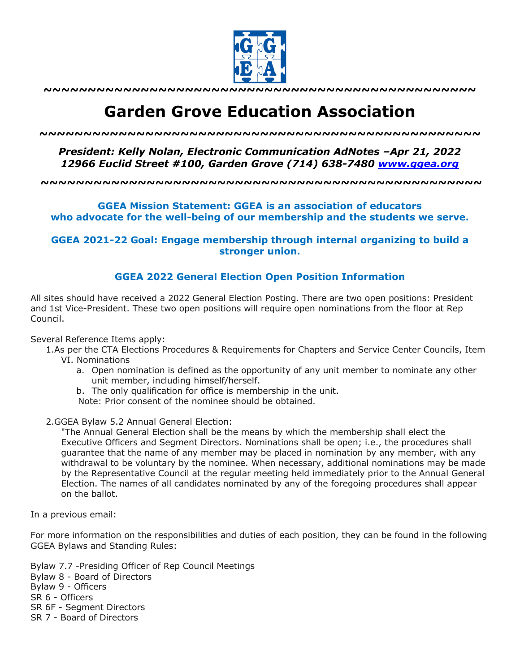

**~~~~~~~~~~~~~~~~~~~~~~~~~~~~~~~~~~~~~~~~~~~~~~~~~**

# **Garden Grove Education Association**

*~~~~~~~~~~~~~~~~~~~~~~~~~~~~~~~~~~~~~~~~~~~~~~~~~~*

## *President: Kelly Nolan, Electronic Communication AdNotes –Apr 21, 2022 12966 Euclid Street #100, Garden Grove (714) 638-7480 www.ggea.org*

**~~~~~~~~~~~~~~~~~~~~~~~~~~~~~~~~~~~~~~~~~~~~~~~~~~**

### **GGEA Mission Statement: GGEA is an association of educators who advocate for the well-being of our membership and the students we serve.**

**GGEA 2021-22 Goal: Engage membership through internal organizing to build a stronger union.**

#### **GGEA 2022 General Election Open Position Information**

All sites should have received a 2022 General Election Posting. There are two open positions: President and 1st Vice-President. These two open positions will require open nominations from the floor at Rep Council.

Several Reference Items apply:

- 1.As per the CTA Elections Procedures & Requirements for Chapters and Service Center Councils, Item VI. Nominations
	- a. Open nomination is defined as the opportunity of any unit member to nominate any other unit member, including himself/herself.
	- b. The only qualification for office is membership in the unit.

Note: Prior consent of the nominee should be obtained.

2.GGEA Bylaw 5.2 Annual General Election:

"The Annual General Election shall be the means by which the membership shall elect the Executive Officers and Segment Directors. Nominations shall be open; i.e., the procedures shall guarantee that the name of any member may be placed in nomination by any member, with any withdrawal to be voluntary by the nominee. When necessary, additional nominations may be made by the Representative Council at the regular meeting held immediately prior to the Annual General Election. The names of all candidates nominated by any of the foregoing procedures shall appear on the ballot.

In a previous email:

For more information on the responsibilities and duties of each position, they can be found in the following GGEA Bylaws and Standing Rules:

Bylaw 7.7 -Presiding Officer of Rep Council Meetings Bylaw 8 - Board of Directors Bylaw 9 - Officers SR 6 - Officers SR 6F - Segment Directors SR 7 - Board of Directors